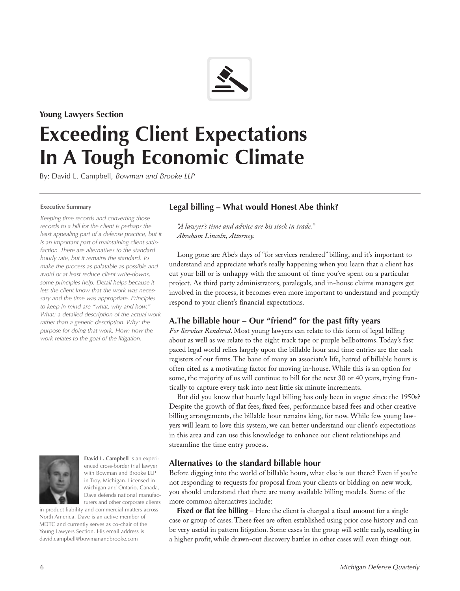

### **Young Lawyers Section**

# **Exceeding Client Expectations In A Tough Economic Climate**

By: David L. Campbell, *Bowman and Brooke LLP*

#### **Executive Summary**

*Keeping time records and converting those records to a bill for the client is perhaps the*  least appealing part of a defense practice, but it *is an important part of maintaining client satisfaction. There are alternatives to the standard hourly rate, but it remains the standard. To make the process as palatable as possible and avoid or at least reduce client write-downs, some principles help. Detail helps because it lets the client know that the work was necessary and the time was appropriate. Principles to keep in mind are "what, why and how." What: a detailed description of the actual work rather than a generic description. Why: the purpose for doing that work. How: how the work relates to the goal of the litigation.*

# **Legal billing – What would Honest Abe think?**

*"A lawyer's time and advice are his stock in trade." Abraham Lincoln, Attorney.*

Long gone are Abe's days of "for services rendered" billing, and it's important to understand and appreciate what's really happening when you learn that a client has cut your bill or is unhappy with the amount of time you've spent on a particular project. As third party administrators, paralegals, and in-house claims managers get involved in the process, it becomes even more important to understand and promptly respond to your client's financial expectations.

# **A.The billable hour – Our "friend" for the past fifty years**

*For Services Rendered*. Most young lawyers can relate to this form of legal billing about as well as we relate to the eight track tape or purple bellbottoms. Today's fast paced legal world relies largely upon the billable hour and time entries are the cash registers of our firms. The bane of many an associate's life, hatred of billable hours is often cited as a motivating factor for moving in-house. While this is an option for some, the majority of us will continue to bill for the next 30 or 40 years, trying frantically to capture every task into neat little six minute increments.

But did you know that hourly legal billing has only been in vogue since the 1950s? Despite the growth of flat fees, fixed fees, performance based fees and other creative billing arrangements, the billable hour remains king, for now. While few young lawyers will learn to love this system, we can better understand our client's expectations in this area and can use this knowledge to enhance our client relationships and streamline the time entry process.

# **Alternatives to the standard billable hour**

Before digging into the world of billable hours, what else is out there? Even if you're not responding to requests for proposal from your clients or bidding on new work, you should understand that there are many available billing models. Some of the more common alternatives include:

**Fixed or flat fee billing** – Here the client is charged a fixed amount for a single case or group of cases. These fees are often established using prior case history and can be very useful in pattern litigation. Some cases in the group will settle early, resulting in a higher profit, while drawn-out discovery battles in other cases will even things out.

# **David L. Campbell** is an experienced cross-border trial lawyer with Bowman and Brooke LLP

in Troy, Michigan. Licensed in Michigan and Ontario, Canada, Dave defends national manufacturers and other corporate clients in product liability and commercial matters across

North America. Dave is an active member of MDTC and currently serves as co-chair of the Young Lawyers Section. His email address is david.campbell@bowmanandbrooke.com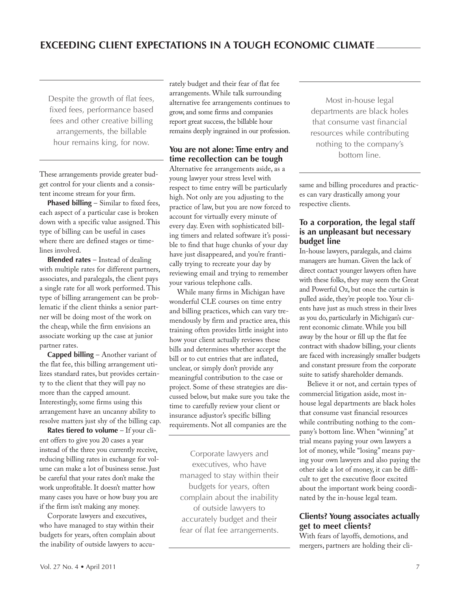Despite the growth of flat fees, fixed fees, performance based fees and other creative billing arrangements, the billable hour remains king, for now.

These arrangements provide greater budget control for your clients and a consistent income stream for your firm.

**Phased billing** – Similar to fixed fees, each aspect of a particular case is broken down with a specific value assigned. This type of billing can be useful in cases where there are defined stages or timelines involved.

**Blended rates** – Instead of dealing with multiple rates for different partners, associates, and paralegals, the client pays a single rate for all work performed. This type of billing arrangement can be problematic if the client thinks a senior partner will be doing most of the work on the cheap, while the firm envisions an associate working up the case at junior partner rates.

**Capped billing** – Another variant of the flat fee, this billing arrangement utilizes standard rates, but provides certainty to the client that they will pay no more than the capped amount. Interestingly, some firms using this arrangement have an uncanny ability to resolve matters just shy of the billing cap.

**Rates tiered to volume** – If your client offers to give you 20 cases a year instead of the three you currently receive, reducing billing rates in exchange for volume can make a lot of business sense. Just be careful that your rates don't make the work unprofitable. It doesn't matter how many cases you have or how busy you are if the firm isn't making any money.

Corporate lawyers and executives, who have managed to stay within their budgets for years, often complain about the inability of outside lawyers to accurately budget and their fear of flat fee arrangements. While talk surrounding alternative fee arrangements continues to grow, and some firms and companies report great success, the billable hour remains deeply ingrained in our profession.

#### **You are not alone: Time entry and time recollection can be tough**

Alternative fee arrangements aside, as a young lawyer your stress level with respect to time entry will be particularly high. Not only are you adjusting to the practice of law, but you are now forced to account for virtually every minute of every day. Even with sophisticated billing timers and related software it's possible to find that huge chunks of your day have just disappeared, and you're frantically trying to recreate your day by reviewing email and trying to remember your various telephone calls.

While many firms in Michigan have wonderful CLE courses on time entry and billing practices, which can vary tremendously by firm and practice area, this training often provides little insight into how your client actually reviews these bills and determines whether accept the bill or to cut entries that are inflated, unclear, or simply don't provide any meaningful contribution to the case or project. Some of these strategies are discussed below, but make sure you take the time to carefully review your client or insurance adjustor's specific billing requirements. Not all companies are the

Corporate lawyers and executives, who have managed to stay within their budgets for years, often complain about the inability of outside lawyers to accurately budget and their fear of flat fee arrangements.

Most in-house legal departments are black holes that consume vast financial resources while contributing nothing to the company's bottom line.

same and billing procedures and practices can vary drastically among your respective clients.

#### **To a corporation, the legal staff is an unpleasant but necessary budget line**

In-house lawyers, paralegals, and claims managers are human. Given the lack of direct contact younger lawyers often have with these folks, they may seem the Great and Powerful Oz, but once the curtain is pulled aside, they're people too. Your clients have just as much stress in their lives as you do, particularly in Michigan's current economic climate. While you bill away by the hour or fill up the flat fee contract with shadow billing, your clients are faced with increasingly smaller budgets and constant pressure from the corporate suite to satisfy shareholder demands.

Believe it or not, and certain types of commercial litigation aside, most inhouse legal departments are black holes that consume vast financial resources while contributing nothing to the company's bottom line. When "winning" at trial means paying your own lawyers a lot of money, while "losing" means paying your own lawyers and also paying the other side a lot of money, it can be difficult to get the executive floor excited about the important work being coordinated by the in-house legal team.

#### **Clients? Young associates actually get to meet clients?**

With fears of layoffs, demotions, and mergers, partners are holding their cli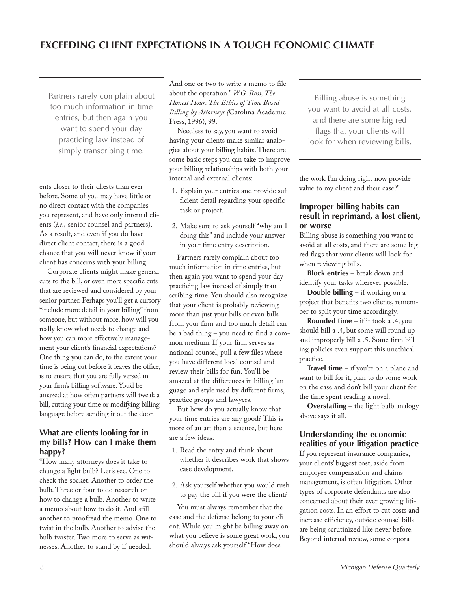Partners rarely complain about too much information in time entries, but then again you want to spend your day practicing law instead of simply transcribing time.

ents closer to their chests than ever before. Some of you may have little or no direct contact with the companies you represent, and have only internal clients (*i.e.,* senior counsel and partners). As a result, and even if you do have direct client contact, there is a good chance that you will never know if your client has concerns with your billing.

Corporate clients might make general cuts to the bill, or even more specific cuts that are reviewed and considered by your senior partner. Perhaps you'll get a cursory "include more detail in your billing" from someone, but without more, how will you really know what needs to change and how you can more effectively management your client's financial expectations? One thing you can do, to the extent your time is being cut before it leaves the office, is to ensure that you are fully versed in your firm's billing software. You'd be amazed at how often partners will tweak a bill, cutting your time or modifying billing language before sending it out the door.

#### **What are clients looking for in my bills? How can I make them happy?**

"How many attorneys does it take to change a light bulb? Let's see. One to check the socket. Another to order the bulb. Three or four to do research on how to change a bulb. Another to write a memo about how to do it. And still another to proofread the memo. One to twist in the bulb. Another to advise the bulb twister. Two more to serve as witnesses. Another to stand by if needed.

And one or two to write a memo to file about the operation." *W.G. Ross, The Honest Hour: The Ethics of Time Based Billing by Attorneys (*Carolina Academic Press, 1996), 99.

Needless to say, you want to avoid having your clients make similar analogies about your billing habits. There are some basic steps you can take to improve your billing relationships with both your internal and external clients:

- 1. Explain your entries and provide sufficient detail regarding your specific task or project.
- 2. Make sure to ask yourself "why am I doing this" and include your answer in your time entry description.

Partners rarely complain about too much information in time entries, but then again you want to spend your day practicing law instead of simply transcribing time. You should also recognize that your client is probably reviewing more than just your bills or even bills from your firm and too much detail can be a bad thing – you need to find a common medium. If your firm serves as national counsel, pull a few files where you have different local counsel and review their bills for fun. You'll be amazed at the differences in billing language and style used by different firms, practice groups and lawyers.

But how do you actually know that your time entries are any good? This is more of an art than a science, but here are a few ideas:

- 1. Read the entry and think about whether it describes work that shows case development.
- 2. Ask yourself whether you would rush to pay the bill if you were the client?

You must always remember that the case and the defense belong to your client. While you might be billing away on what you believe is some great work, you should always ask yourself "How does

Billing abuse is something you want to avoid at all costs, and there are some big red flags that your clients will look for when reviewing bills.

the work I'm doing right now provide value to my client and their case?"

#### **Improper billing habits can result in reprimand, a lost client, or worse**

Billing abuse is something you want to avoid at all costs, and there are some big red flags that your clients will look for when reviewing bills.

**Block entries** – break down and identify your tasks wherever possible.

**Double billing** – if working on a project that benefits two clients, remember to split your time accordingly.

**Rounded time** – if it took a .4, you should bill a .4, but some will round up and improperly bill a .5. Some firm billing policies even support this unethical practice.

**Travel time** – if you're on a plane and want to bill for it, plan to do some work on the case and don't bill your client for the time spent reading a novel.

**Overstaffing** – the light bulb analogy above says it all.

# **understanding the economic realities of your litigation practice**

If you represent insurance companies, your clients' biggest cost, aside from employee compensation and claims management, is often litigation. Other types of corporate defendants are also concerned about their ever growing litigation costs. In an effort to cut costs and increase efficiency, outside counsel bills are being scrutinized like never before. Beyond internal review, some corpora